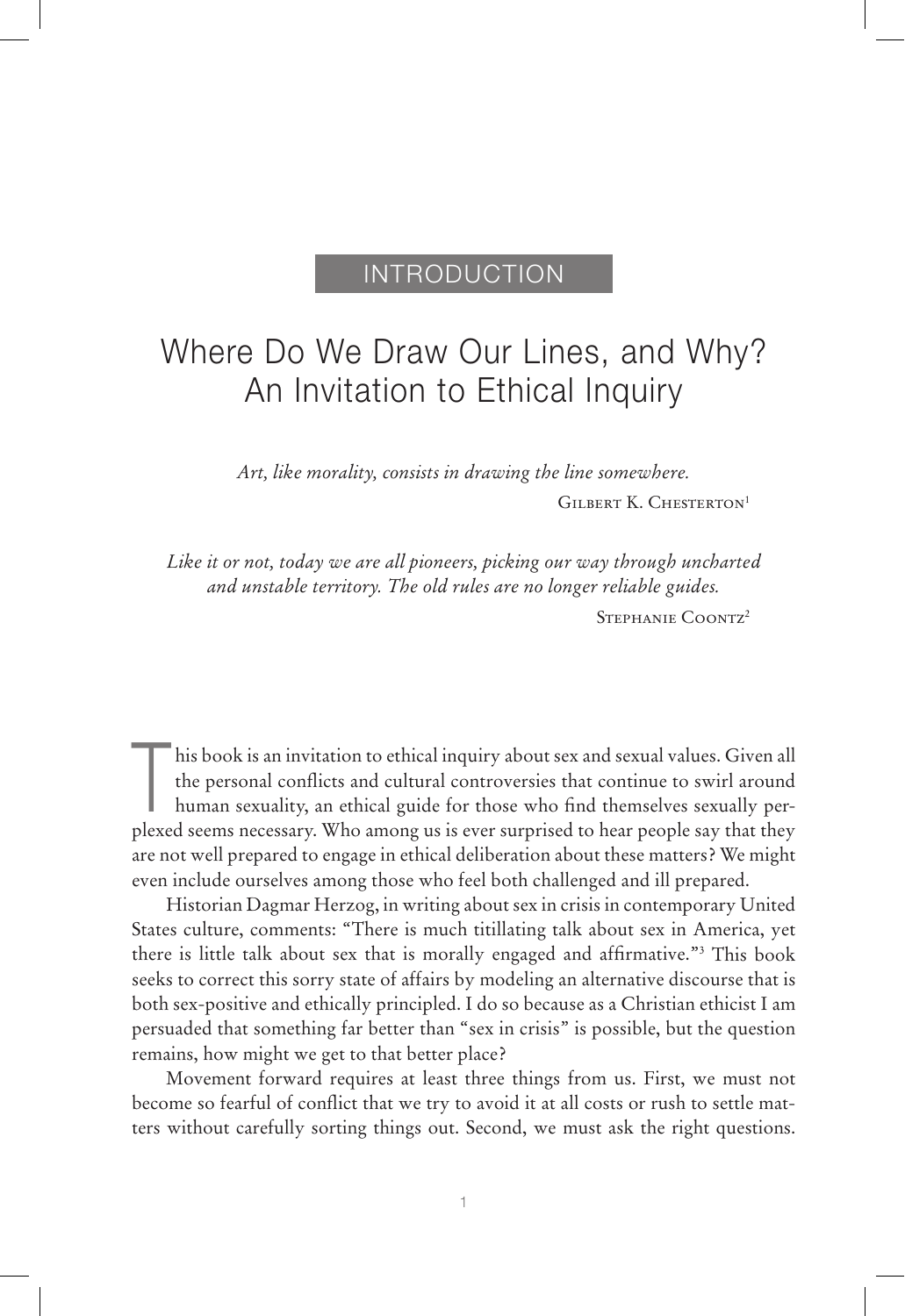## **INTRODUCTION**

## Where Do We Draw Our Lines, and Why? An Invitation to Ethical Inquiry

*Art, like morality, consists in drawing the line somewhere.* GILBERT K. CHESTERTON<sup>1</sup>

*Like it or not, today we are all pioneers, picking our way through uncharted and unstable territory. The old rules are no longer reliable guides.*

STEPHANIE COONTZ<sup>2</sup>

his book is an invitation to ethical inquiry about sex and sexual values. Given all the personal conflicts and cultural controversies that continue to swirl around human sexuality, an ethical guide for those who find thems the personal conflicts and cultural controversies that continue to swirl around human sexuality, an ethical guide for those who find themselves sexually perplexed seems necessary. Who among us is ever surprised to hear people say that they are not well prepared to engage in ethical deliberation about these matters? We might even include ourselves among those who feel both challenged and ill prepared.

Historian Dagmar Herzog, in writing about sex in crisis in contemporary United States culture, comments: "There is much titillating talk about sex in America, yet there is little talk about sex that is morally engaged and affirmative."3 This book seeks to correct this sorry state of affairs by modeling an alternative discourse that is both sex-positive and ethically principled. I do so because as a Christian ethicist I am persuaded that something far better than "sex in crisis" is possible, but the question remains, how might we get to that better place?

Movement forward requires at least three things from us. First, we must not become so fearful of conflict that we try to avoid it at all costs or rush to settle matters without carefully sorting things out. Second, we must ask the right questions.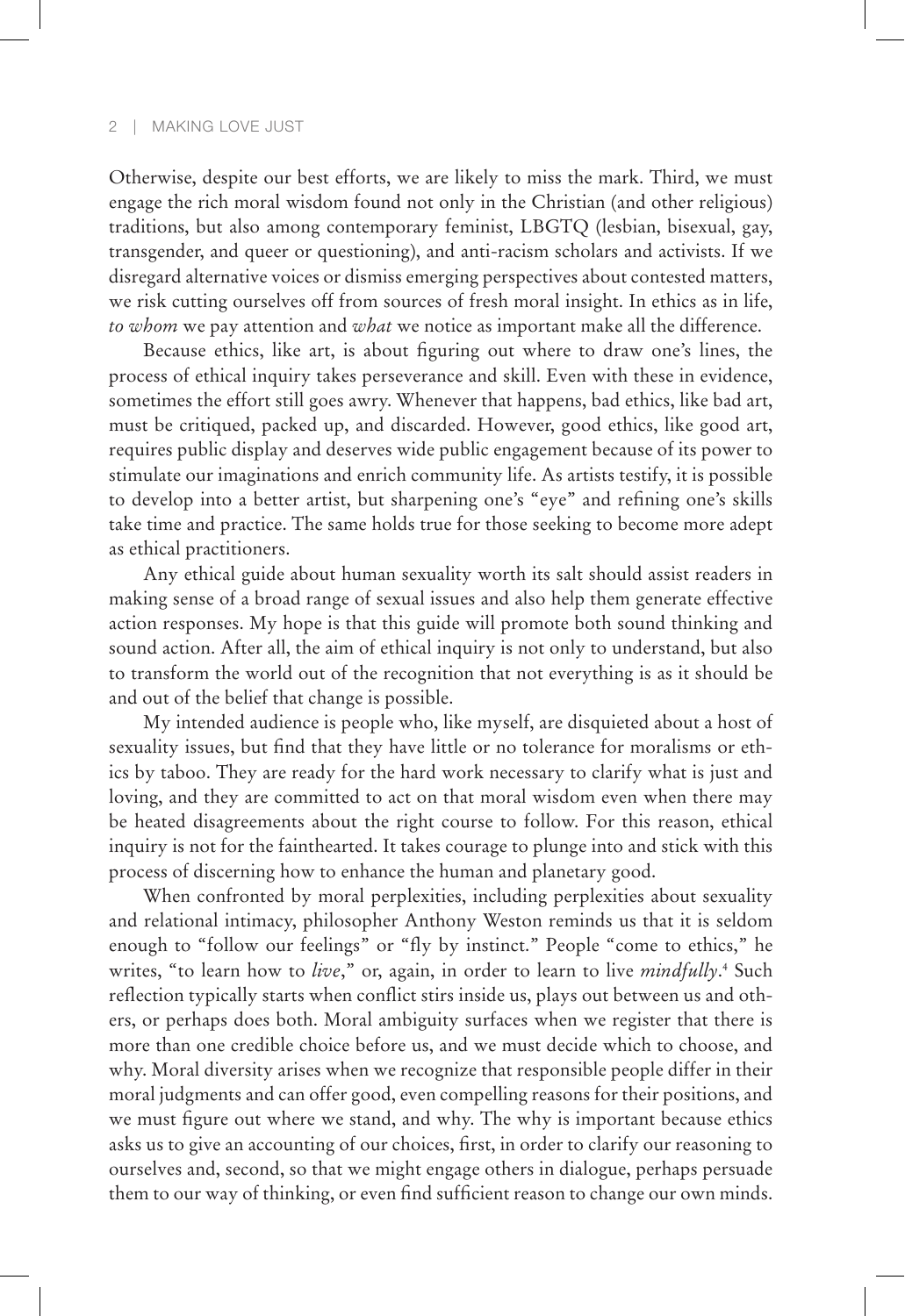## 2 | making love just

Otherwise, despite our best efforts, we are likely to miss the mark. Third, we must engage the rich moral wisdom found not only in the Christian (and other religious) traditions, but also among contemporary feminist, LBGTQ (lesbian, bisexual, gay, transgender, and queer or questioning), and anti-racism scholars and activists. If we disregard alternative voices or dismiss emerging perspectives about contested matters, we risk cutting ourselves off from sources of fresh moral insight. In ethics as in life, *to whom* we pay attention and *what* we notice as important make all the difference.

Because ethics, like art, is about figuring out where to draw one's lines, the process of ethical inquiry takes perseverance and skill. Even with these in evidence, sometimes the effort still goes awry. Whenever that happens, bad ethics, like bad art, must be critiqued, packed up, and discarded. However, good ethics, like good art, requires public display and deserves wide public engagement because of its power to stimulate our imaginations and enrich community life. As artists testify, it is possible to develop into a better artist, but sharpening one's "eye" and refining one's skills take time and practice. The same holds true for those seeking to become more adept as ethical practitioners.

Any ethical guide about human sexuality worth its salt should assist readers in making sense of a broad range of sexual issues and also help them generate effective action responses. My hope is that this guide will promote both sound thinking and sound action. After all, the aim of ethical inquiry is not only to understand, but also to transform the world out of the recognition that not everything is as it should be and out of the belief that change is possible.

My intended audience is people who, like myself, are disquieted about a host of sexuality issues, but find that they have little or no tolerance for moralisms or ethics by taboo. They are ready for the hard work necessary to clarify what is just and loving, and they are committed to act on that moral wisdom even when there may be heated disagreements about the right course to follow. For this reason, ethical inquiry is not for the fainthearted. It takes courage to plunge into and stick with this process of discerning how to enhance the human and planetary good.

When confronted by moral perplexities, including perplexities about sexuality and relational intimacy, philosopher Anthony Weston reminds us that it is seldom enough to "follow our feelings" or "fly by instinct." People "come to ethics," he writes, "to learn how to *live*," or, again, in order to learn to live *mindfully*.<sup>4</sup> Such reflection typically starts when conflict stirs inside us, plays out between us and others, or perhaps does both. Moral ambiguity surfaces when we register that there is more than one credible choice before us, and we must decide which to choose, and why. Moral diversity arises when we recognize that responsible people differ in their moral judgments and can offer good, even compelling reasons for their positions, and we must figure out where we stand, and why. The why is important because ethics asks us to give an accounting of our choices, first, in order to clarify our reasoning to ourselves and, second, so that we might engage others in dialogue, perhaps persuade them to our way of thinking, or even find sufficient reason to change our own minds.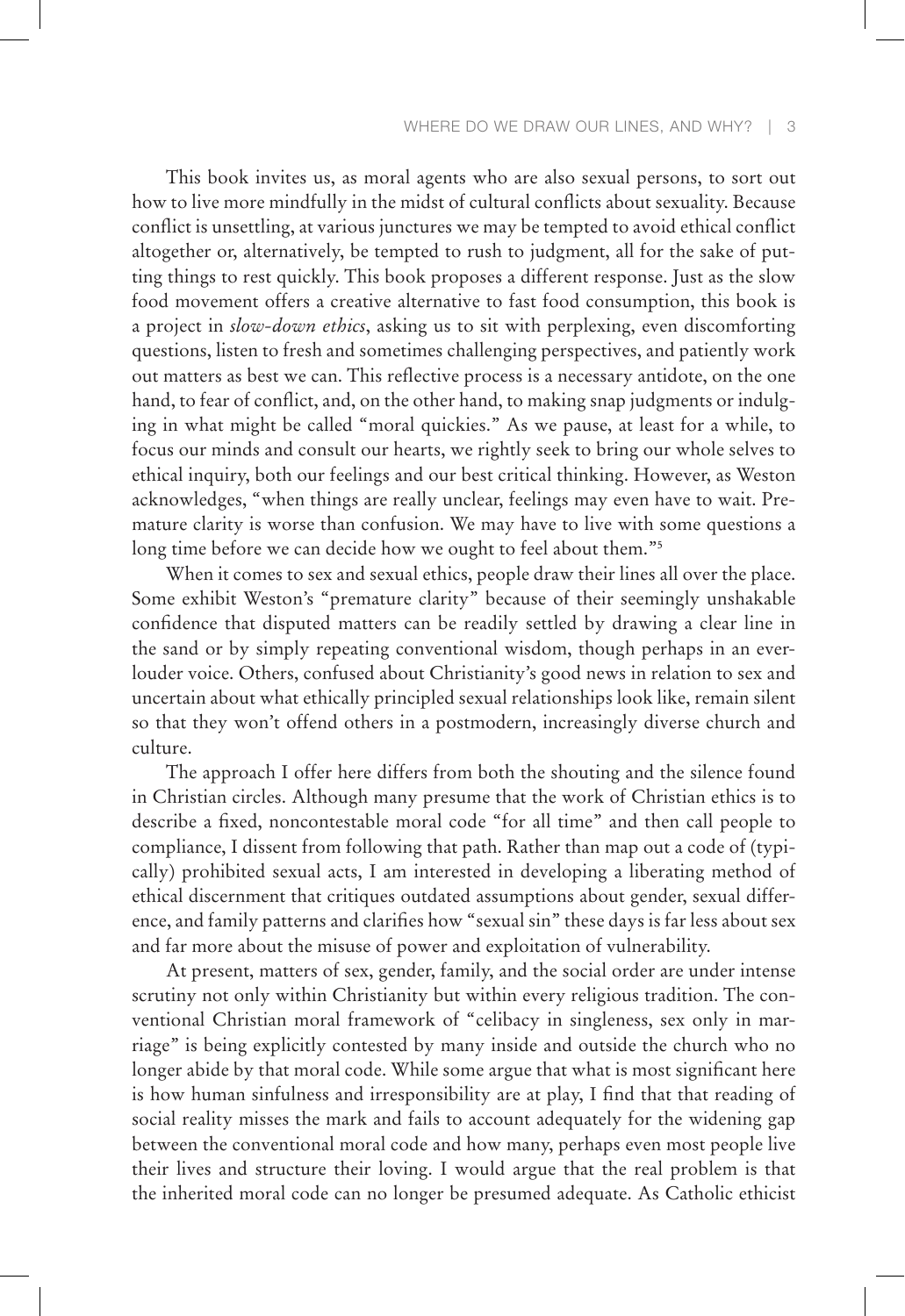This book invites us, as moral agents who are also sexual persons, to sort out how to live more mindfully in the midst of cultural conflicts about sexuality. Because conflict is unsettling, at various junctures we may be tempted to avoid ethical conflict altogether or, alternatively, be tempted to rush to judgment, all for the sake of putting things to rest quickly. This book proposes a different response. Just as the slow food movement offers a creative alternative to fast food consumption, this book is a project in *slow-down ethics*, asking us to sit with perplexing, even discomforting questions, listen to fresh and sometimes challenging perspectives, and patiently work out matters as best we can. This reflective process is a necessary antidote, on the one hand, to fear of conflict, and, on the other hand, to making snap judgments or indulging in what might be called "moral quickies." As we pause, at least for a while, to focus our minds and consult our hearts, we rightly seek to bring our whole selves to ethical inquiry, both our feelings and our best critical thinking. However, as Weston acknowledges, "when things are really unclear, feelings may even have to wait. Premature clarity is worse than confusion. We may have to live with some questions a long time before we can decide how we ought to feel about them."<sup>5</sup>

When it comes to sex and sexual ethics, people draw their lines all over the place. Some exhibit Weston's "premature clarity" because of their seemingly unshakable confidence that disputed matters can be readily settled by drawing a clear line in the sand or by simply repeating conventional wisdom, though perhaps in an everlouder voice. Others, confused about Christianity's good news in relation to sex and uncertain about what ethically principled sexual relationships look like, remain silent so that they won't offend others in a postmodern, increasingly diverse church and culture.

The approach I offer here differs from both the shouting and the silence found in Christian circles. Although many presume that the work of Christian ethics is to describe a fixed, noncontestable moral code "for all time" and then call people to compliance, I dissent from following that path. Rather than map out a code of (typically) prohibited sexual acts, I am interested in developing a liberating method of ethical discernment that critiques outdated assumptions about gender, sexual difference, and family patterns and clarifies how "sexual sin" these days is far less about sex and far more about the misuse of power and exploitation of vulnerability.

At present, matters of sex, gender, family, and the social order are under intense scrutiny not only within Christianity but within every religious tradition. The conventional Christian moral framework of "celibacy in singleness, sex only in marriage" is being explicitly contested by many inside and outside the church who no longer abide by that moral code. While some argue that what is most significant here is how human sinfulness and irresponsibility are at play, I find that that reading of social reality misses the mark and fails to account adequately for the widening gap between the conventional moral code and how many, perhaps even most people live their lives and structure their loving. I would argue that the real problem is that the inherited moral code can no longer be presumed adequate. As Catholic ethicist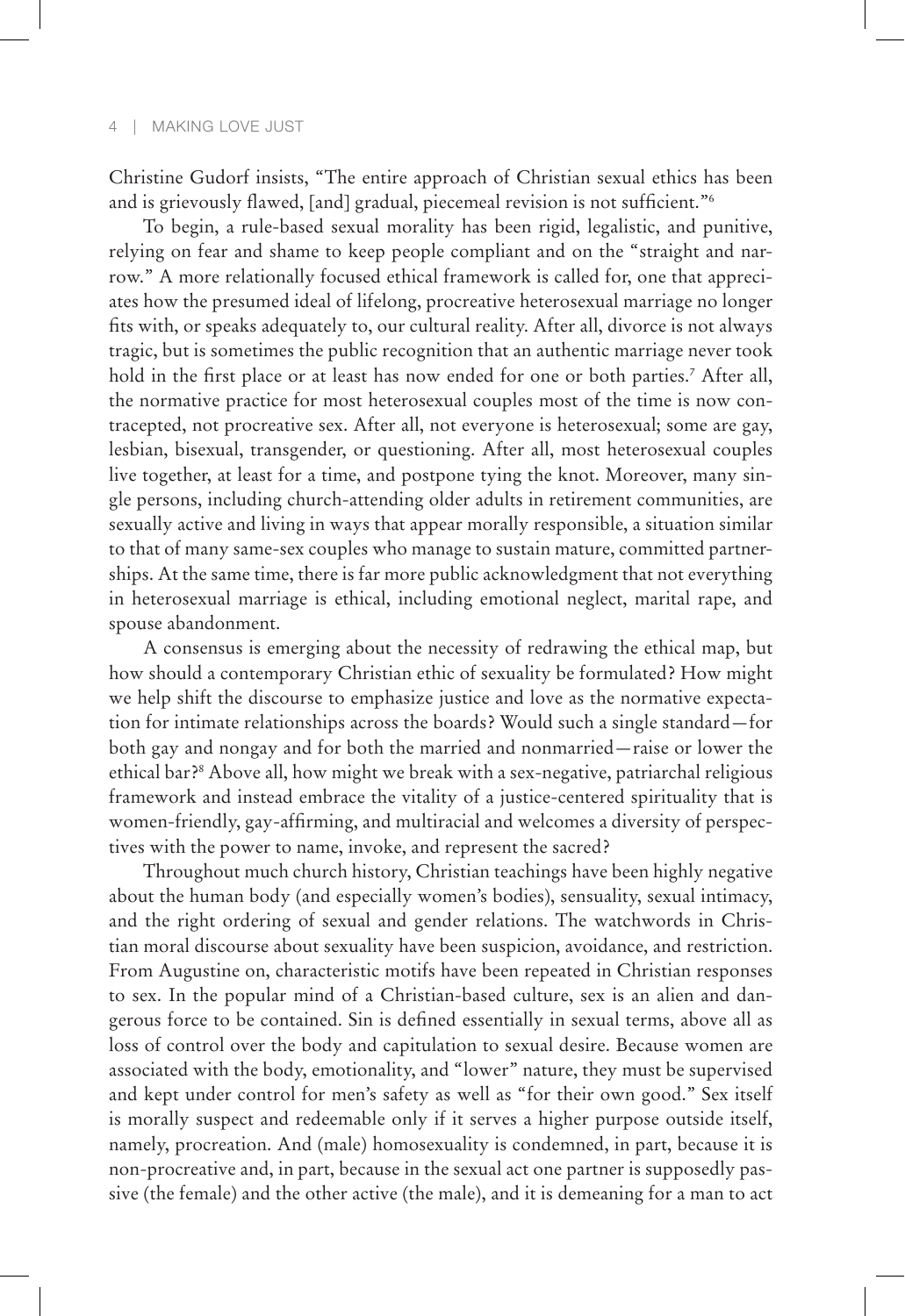Christine Gudorf insists, "The entire approach of Christian sexual ethics has been and is grievously flawed, [and] gradual, piecemeal revision is not sufficient."6

To begin, a rule-based sexual morality has been rigid, legalistic, and punitive, relying on fear and shame to keep people compliant and on the "straight and narrow." A more relationally focused ethical framework is called for, one that appreciates how the presumed ideal of lifelong, procreative heterosexual marriage no longer fits with, or speaks adequately to, our cultural reality. After all, divorce is not always tragic, but is sometimes the public recognition that an authentic marriage never took hold in the first place or at least has now ended for one or both parties.<sup>7</sup> After all, the normative practice for most heterosexual couples most of the time is now contracepted, not procreative sex. After all, not everyone is heterosexual; some are gay, lesbian, bisexual, transgender, or questioning. After all, most heterosexual couples live together, at least for a time, and postpone tying the knot. Moreover, many single persons, including church-attending older adults in retirement communities, are sexually active and living in ways that appear morally responsible, a situation similar to that of many same-sex couples who manage to sustain mature, committed partnerships. At the same time, there is far more public acknowledgment that not everything in heterosexual marriage is ethical, including emotional neglect, marital rape, and spouse abandonment.

A consensus is emerging about the necessity of redrawing the ethical map, but how should a contemporary Christian ethic of sexuality be formulated? How might we help shift the discourse to emphasize justice and love as the normative expectation for intimate relationships across the boards? Would such a single standard—for both gay and nongay and for both the married and nonmarried—raise or lower the ethical bar?8 Above all, how might we break with a sex-negative, patriarchal religious framework and instead embrace the vitality of a justice-centered spirituality that is women-friendly, gay-affirming, and multiracial and welcomes a diversity of perspectives with the power to name, invoke, and represent the sacred?

Throughout much church history, Christian teachings have been highly negative about the human body (and especially women's bodies), sensuality, sexual intimacy, and the right ordering of sexual and gender relations. The watchwords in Christian moral discourse about sexuality have been suspicion, avoidance, and restriction. From Augustine on, characteristic motifs have been repeated in Christian responses to sex. In the popular mind of a Christian-based culture, sex is an alien and dangerous force to be contained. Sin is defined essentially in sexual terms, above all as loss of control over the body and capitulation to sexual desire. Because women are associated with the body, emotionality, and "lower" nature, they must be supervised and kept under control for men's safety as well as "for their own good." Sex itself is morally suspect and redeemable only if it serves a higher purpose outside itself, namely, procreation. And (male) homosexuality is condemned, in part, because it is non-procreative and, in part, because in the sexual act one partner is supposedly passive (the female) and the other active (the male), and it is demeaning for a man to act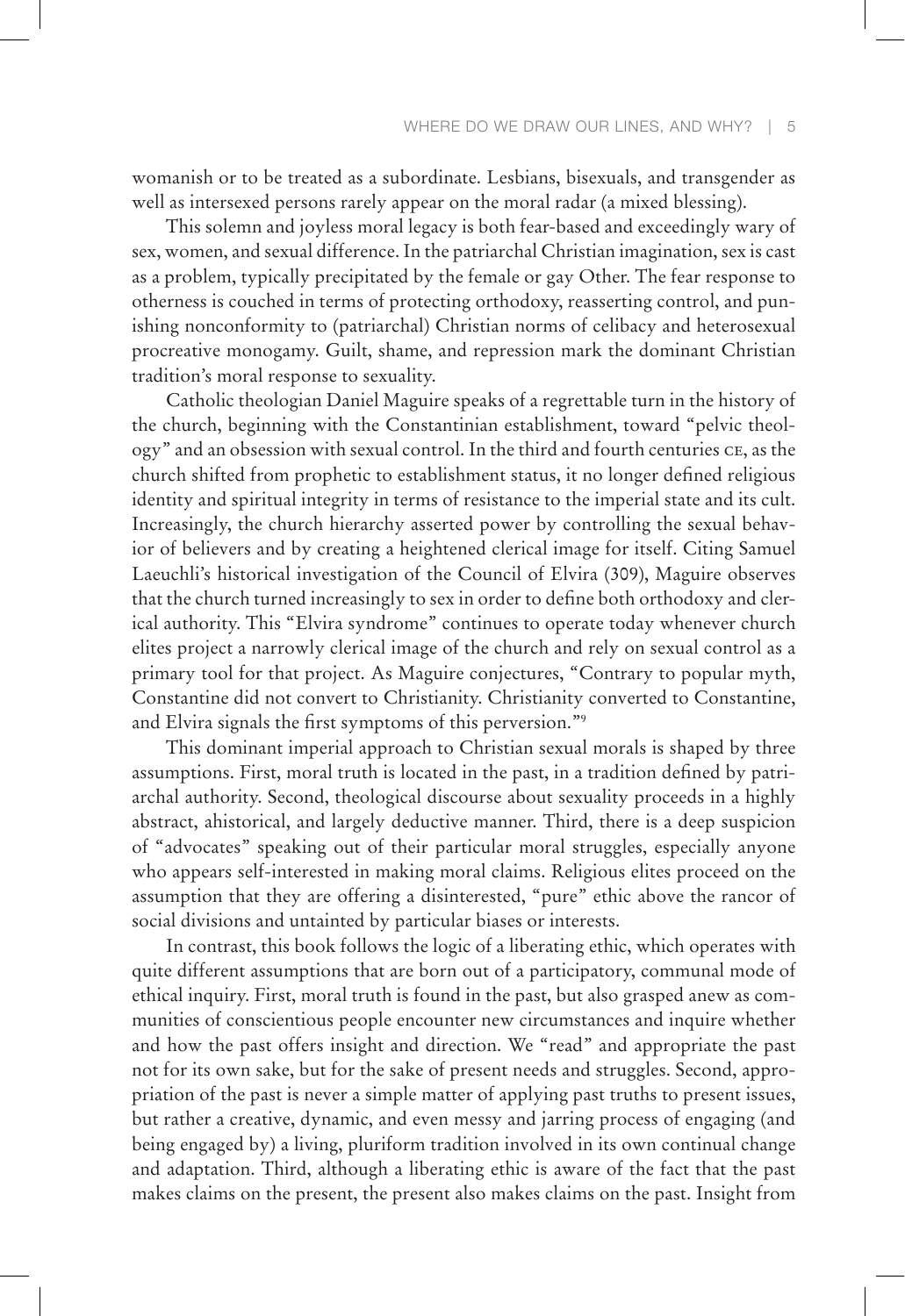womanish or to be treated as a subordinate. Lesbians, bisexuals, and transgender as well as intersexed persons rarely appear on the moral radar (a mixed blessing).

This solemn and joyless moral legacy is both fear-based and exceedingly wary of sex, women, and sexual difference. In the patriarchal Christian imagination, sex is cast as a problem, typically precipitated by the female or gay Other. The fear response to otherness is couched in terms of protecting orthodoxy, reasserting control, and punishing nonconformity to (patriarchal) Christian norms of celibacy and heterosexual procreative monogamy. Guilt, shame, and repression mark the dominant Christian tradition's moral response to sexuality.

Catholic theologian Daniel Maguire speaks of a regrettable turn in the history of the church, beginning with the Constantinian establishment, toward "pelvic theology" and an obsession with sexual control. In the third and fourth centuries ce, as the church shifted from prophetic to establishment status, it no longer defined religious identity and spiritual integrity in terms of resistance to the imperial state and its cult. Increasingly, the church hierarchy asserted power by controlling the sexual behavior of believers and by creating a heightened clerical image for itself. Citing Samuel Laeuchli's historical investigation of the Council of Elvira (309), Maguire observes that the church turned increasingly to sex in order to define both orthodoxy and clerical authority. This "Elvira syndrome" continues to operate today whenever church elites project a narrowly clerical image of the church and rely on sexual control as a primary tool for that project. As Maguire conjectures, "Contrary to popular myth, Constantine did not convert to Christianity. Christianity converted to Constantine, and Elvira signals the first symptoms of this perversion."9

This dominant imperial approach to Christian sexual morals is shaped by three assumptions. First, moral truth is located in the past, in a tradition defined by patriarchal authority. Second, theological discourse about sexuality proceeds in a highly abstract, ahistorical, and largely deductive manner. Third, there is a deep suspicion of "advocates" speaking out of their particular moral struggles, especially anyone who appears self-interested in making moral claims. Religious elites proceed on the assumption that they are offering a disinterested, "pure" ethic above the rancor of social divisions and untainted by particular biases or interests.

In contrast, this book follows the logic of a liberating ethic, which operates with quite different assumptions that are born out of a participatory, communal mode of ethical inquiry. First, moral truth is found in the past, but also grasped anew as communities of conscientious people encounter new circumstances and inquire whether and how the past offers insight and direction. We "read" and appropriate the past not for its own sake, but for the sake of present needs and struggles. Second, appropriation of the past is never a simple matter of applying past truths to present issues, but rather a creative, dynamic, and even messy and jarring process of engaging (and being engaged by) a living, pluriform tradition involved in its own continual change and adaptation. Third, although a liberating ethic is aware of the fact that the past makes claims on the present, the present also makes claims on the past. Insight from